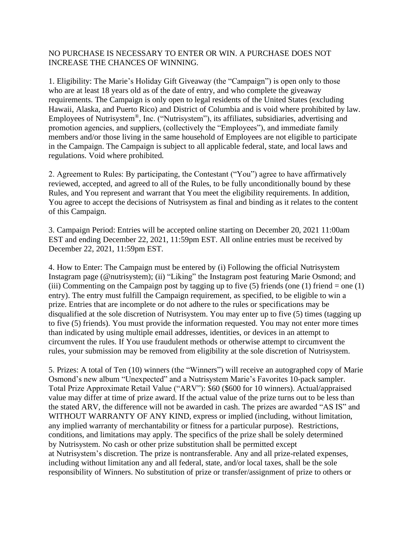## NO PURCHASE IS NECESSARY TO ENTER OR WIN. A PURCHASE DOES NOT INCREASE THE CHANCES OF WINNING.

1. Eligibility: The Marie's Holiday Gift Giveaway (the "Campaign") is open only to those who are at least 18 years old as of the date of entry, and who complete the giveaway requirements. The Campaign is only open to legal residents of the United States (excluding Hawaii, Alaska, and Puerto Rico) and District of Columbia and is void where prohibited by law. Employees of Nutrisystem®, Inc. ("Nutrisystem"), its affiliates, subsidiaries, advertising and promotion agencies, and suppliers, (collectively the "Employees"), and immediate family members and/or those living in the same household of Employees are not eligible to participate in the Campaign. The Campaign is subject to all applicable federal, state, and local laws and regulations. Void where prohibited.

2. Agreement to Rules: By participating, the Contestant ("You") agree to have affirmatively reviewed, accepted, and agreed to all of the Rules, to be fully unconditionally bound by these Rules, and You represent and warrant that You meet the eligibility requirements. In addition, You agree to accept the decisions of Nutrisystem as final and binding as it relates to the content of this Campaign.

3. Campaign Period: Entries will be accepted online starting on December 20, 2021 11:00am EST and ending December 22, 2021, 11:59pm EST. All online entries must be received by December 22, 2021, 11:59pm EST.

4. How to Enter: The Campaign must be entered by (i) Following the official Nutrisystem Instagram page (@nutrisystem); (ii) "Liking" the Instagram post featuring Marie Osmond; and (iii) Commenting on the Campaign post by tagging up to five (5) friends (one (1) friend = one (1) entry). The entry must fulfill the Campaign requirement, as specified, to be eligible to win a prize. Entries that are incomplete or do not adhere to the rules or specifications may be disqualified at the sole discretion of Nutrisystem. You may enter up to five (5) times (tagging up to five (5) friends). You must provide the information requested. You may not enter more times than indicated by using multiple email addresses, identities, or devices in an attempt to circumvent the rules. If You use fraudulent methods or otherwise attempt to circumvent the rules, your submission may be removed from eligibility at the sole discretion of Nutrisystem.

5. Prizes: A total of Ten (10) winners (the "Winners") will receive an autographed copy of Marie Osmond's new album "Unexpected" and a Nutrisystem Marie's Favorites 10-pack sampler. Total Prize Approximate Retail Value ("ARV"): \$60 (\$600 for 10 winners). Actual/appraised value may differ at time of prize award. If the actual value of the prize turns out to be less than the stated ARV, the difference will not be awarded in cash. The prizes are awarded "AS IS" and WITHOUT WARRANTY OF ANY KIND, express or implied (including, without limitation, any implied warranty of merchantability or fitness for a particular purpose). Restrictions, conditions, and limitations may apply. The specifics of the prize shall be solely determined by Nutrisystem. No cash or other prize substitution shall be permitted except at Nutrisystem's discretion. The prize is nontransferable. Any and all prize-related expenses, including without limitation any and all federal, state, and/or local taxes, shall be the sole responsibility of Winners. No substitution of prize or transfer/assignment of prize to others or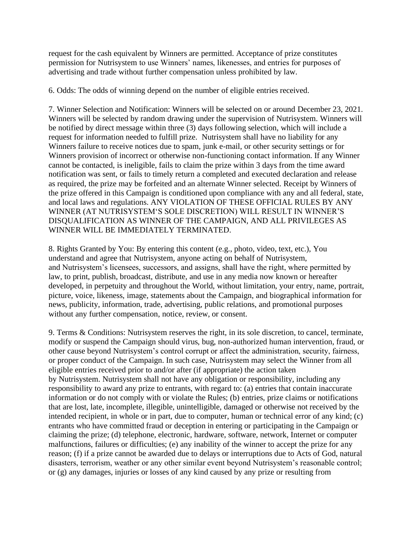request for the cash equivalent by Winners are permitted. Acceptance of prize constitutes permission for Nutrisystem to use Winners' names, likenesses, and entries for purposes of advertising and trade without further compensation unless prohibited by law.

6. Odds: The odds of winning depend on the number of eligible entries received.

7. Winner Selection and Notification: Winners will be selected on or around December 23, 2021. Winners will be selected by random drawing under the supervision of Nutrisystem. Winners will be notified by direct message within three (3) days following selection, which will include a request for information needed to fulfill prize. Nutrisystem shall have no liability for any Winners failure to receive notices due to spam, junk e-mail, or other security settings or for Winners provision of incorrect or otherwise non-functioning contact information. If any Winner cannot be contacted, is ineligible, fails to claim the prize within 3 days from the time award notification was sent, or fails to timely return a completed and executed declaration and release as required, the prize may be forfeited and an alternate Winner selected. Receipt by Winners of the prize offered in this Campaign is conditioned upon compliance with any and all federal, state, and local laws and regulations. ANY VIOLATION OF THESE OFFICIAL RULES BY ANY WINNER (AT NUTRISYSTEM'S SOLE DISCRETION) WILL RESULT IN WINNER'S DISQUALIFICATION AS WINNER OF THE CAMPAIGN, AND ALL PRIVILEGES AS WINNER WILL BE IMMEDIATELY TERMINATED.

8. Rights Granted by You: By entering this content (e.g., photo, video, text, etc.), You understand and agree that Nutrisystem, anyone acting on behalf of Nutrisystem, and Nutrisystem's licensees, successors, and assigns, shall have the right, where permitted by law, to print, publish, broadcast, distribute, and use in any media now known or hereafter developed, in perpetuity and throughout the World, without limitation, your entry, name, portrait, picture, voice, likeness, image, statements about the Campaign, and biographical information for news, publicity, information, trade, advertising, public relations, and promotional purposes without any further compensation, notice, review, or consent.

9. Terms & Conditions: Nutrisystem reserves the right, in its sole discretion, to cancel, terminate, modify or suspend the Campaign should virus, bug, non-authorized human intervention, fraud, or other cause beyond Nutrisystem's control corrupt or affect the administration, security, fairness, or proper conduct of the Campaign. In such case, Nutrisystem may select the Winner from all eligible entries received prior to and/or after (if appropriate) the action taken by Nutrisystem. Nutrisystem shall not have any obligation or responsibility, including any responsibility to award any prize to entrants, with regard to: (a) entries that contain inaccurate information or do not comply with or violate the Rules; (b) entries, prize claims or notifications that are lost, late, incomplete, illegible, unintelligible, damaged or otherwise not received by the intended recipient, in whole or in part, due to computer, human or technical error of any kind; (c) entrants who have committed fraud or deception in entering or participating in the Campaign or claiming the prize; (d) telephone, electronic, hardware, software, network, Internet or computer malfunctions, failures or difficulties; (e) any inability of the winner to accept the prize for any reason; (f) if a prize cannot be awarded due to delays or interruptions due to Acts of God, natural disasters, terrorism, weather or any other similar event beyond Nutrisystem's reasonable control; or (g) any damages, injuries or losses of any kind caused by any prize or resulting from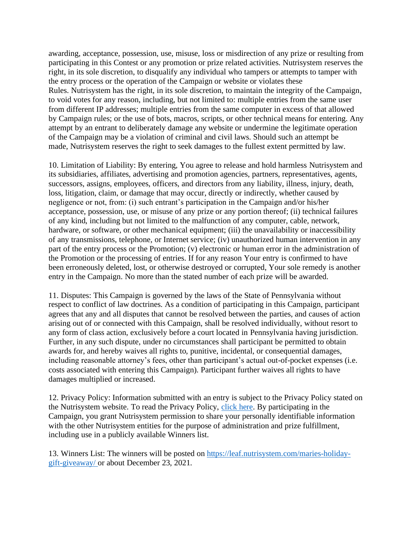awarding, acceptance, possession, use, misuse, loss or misdirection of any prize or resulting from participating in this Contest or any promotion or prize related activities. Nutrisystem reserves the right, in its sole discretion, to disqualify any individual who tampers or attempts to tamper with the entry process or the operation of the Campaign or website or violates these Rules. Nutrisystem has the right, in its sole discretion, to maintain the integrity of the Campaign, to void votes for any reason, including, but not limited to: multiple entries from the same user from different IP addresses; multiple entries from the same computer in excess of that allowed by Campaign rules; or the use of bots, macros, scripts, or other technical means for entering. Any attempt by an entrant to deliberately damage any website or undermine the legitimate operation of the Campaign may be a violation of criminal and civil laws. Should such an attempt be made, Nutrisystem reserves the right to seek damages to the fullest extent permitted by law.

10. Limitation of Liability: By entering, You agree to release and hold harmless Nutrisystem and its subsidiaries, affiliates, advertising and promotion agencies, partners, representatives, agents, successors, assigns, employees, officers, and directors from any liability, illness, injury, death, loss, litigation, claim, or damage that may occur, directly or indirectly, whether caused by negligence or not, from: (i) such entrant's participation in the Campaign and/or his/her acceptance, possession, use, or misuse of any prize or any portion thereof; (ii) technical failures of any kind, including but not limited to the malfunction of any computer, cable, network, hardware, or software, or other mechanical equipment; (iii) the unavailability or inaccessibility of any transmissions, telephone, or Internet service; (iv) unauthorized human intervention in any part of the entry process or the Promotion; (v) electronic or human error in the administration of the Promotion or the processing of entries. If for any reason Your entry is confirmed to have been erroneously deleted, lost, or otherwise destroyed or corrupted, Your sole remedy is another entry in the Campaign. No more than the stated number of each prize will be awarded.

11. Disputes: This Campaign is governed by the laws of the State of Pennsylvania without respect to conflict of law doctrines. As a condition of participating in this Campaign, participant agrees that any and all disputes that cannot be resolved between the parties, and causes of action arising out of or connected with this Campaign, shall be resolved individually, without resort to any form of class action, exclusively before a court located in Pennsylvania having jurisdiction. Further, in any such dispute, under no circumstances shall participant be permitted to obtain awards for, and hereby waives all rights to, punitive, incidental, or consequential damages, including reasonable attorney's fees, other than participant's actual out-of-pocket expenses (i.e. costs associated with entering this Campaign). Participant further waives all rights to have damages multiplied or increased.

12. Privacy Policy: Information submitted with an entry is subject to the Privacy Policy stated on the Nutrisystem website. To read the Privacy Policy, [click here.](https://www.nutrisystem.com/jsps_hmr/privacy/index.jsp) By participating in the Campaign, you grant Nutrisystem permission to share your personally identifiable information with the other Nutrisystem entities for the purpose of administration and prize fulfillment, including use in a publicly available Winners list.

13. Winners List: The winners will be posted on [https://leaf.nutrisystem.com/maries-holiday](https://leaf.nutrisystem.com/maries-holiday-gift-giveaway/)[gift-giveaway/](https://leaf.nutrisystem.com/maries-holiday-gift-giveaway/) or about December 23, 2021.